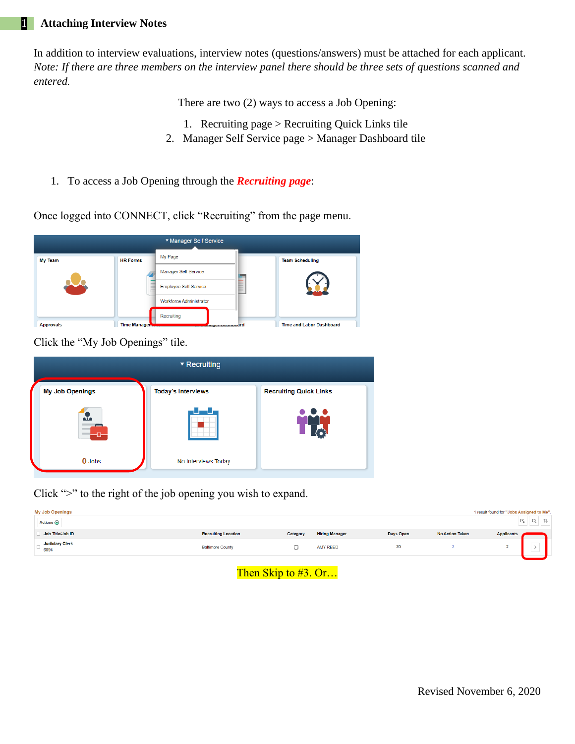#### 1 **Attaching Interview Notes**

In addition to interview evaluations, interview notes (questions/answers) must be attached for each applicant. *Note: If there are three members on the interview panel there should be three sets of questions scanned and entered.*

There are two (2) ways to access a Job Opening:

- 1. Recruiting page > Recruiting Quick Links tile
- 2. Manager Self Service page > Manager Dashboard tile
- 1. To access a Job Opening through the *Recruiting page*:

Once logged into CONNECT, click "Recruiting" from the page menu.



Click the "My Job Openings" tile.

|                        | $\blacktriangledown$ Recruiting |                               |  |  |
|------------------------|---------------------------------|-------------------------------|--|--|
| <b>My Job Openings</b> | <b>Today's Interviews</b>       | <b>Recruiting Quick Links</b> |  |  |
| $\frac{3}{4}$          |                                 | $\bullet$ $\bullet$ $\bullet$ |  |  |
| $0$ Jobs               | No Interviews Today             |                               |  |  |

Click ">" to the right of the job opening you wish to expand.

| <b>My Job Openings</b><br>Actions $\odot$ |                            |          |                       |           |                        | 1 result found for "Jobs Assigned to Me". | $\overline{x}_k$<br>Q<br>礼 |  |
|-------------------------------------------|----------------------------|----------|-----------------------|-----------|------------------------|-------------------------------------------|----------------------------|--|
| Job Title/Job ID                          | <b>Recruiting Location</b> | Category | <b>Hiring Manager</b> | Days Open | <b>No Action Taken</b> | <b>Applicants</b>                         |                            |  |
| Judiciary Clerk $\bigcup_{6094}$          | <b>Baltimore County</b>    | مسه      | <b>AMY REED</b>       | 20        |                        |                                           | $\sim$<br>,<br>ىسا         |  |
|                                           |                            |          |                       |           |                        |                                           |                            |  |

## Then Skip to #3. Or...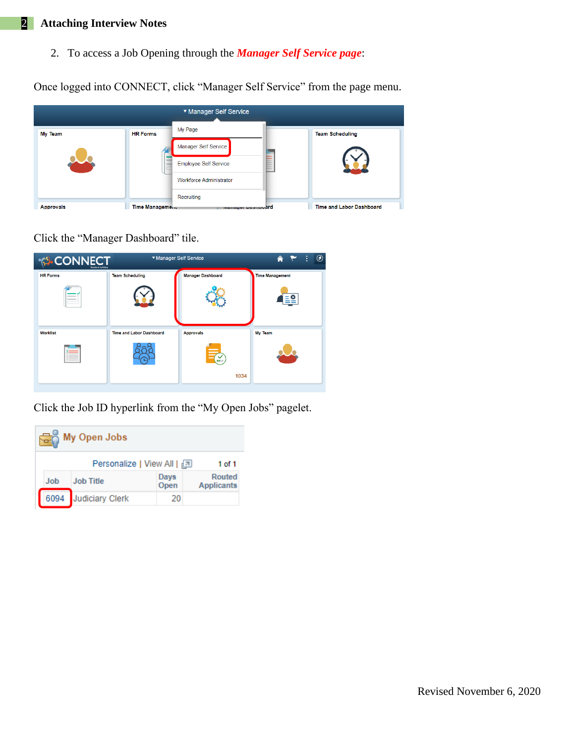# 2 **Attaching Interview Notes**

2. To access a Job Opening through the *Manager Self Service page*:

Once logged into CONNECT, click "Manager Self Service" from the page menu.

|                  |                        | ▼ Manager Self Service         |                          |
|------------------|------------------------|--------------------------------|--------------------------|
| <b>My Team</b>   | <b>HR Forms</b>        | My Page                        | <b>Team Scheduling</b>   |
|                  |                        | Manager Self Service           |                          |
|                  |                        | <b>Employee Self Service</b>   |                          |
|                  |                        | <b>Workforce Administrator</b> |                          |
|                  |                        | Recruiting                     |                          |
| <b>Approvals</b> | <b>Time Management</b> | manager Dasmoodrd              | Time and Labor Dashboard |

Click the "Manager Dashboard" tile.



Click the Job ID hyperlink from the "My Open Jobs" pagelet.

| <b>Rain</b> My Open Jobs |            |                                      |              |                             |  |  |  |  |  |  |
|--------------------------|------------|--------------------------------------|--------------|-----------------------------|--|--|--|--|--|--|
|                          |            | Personalize   View All   2<br>1 of 1 |              |                             |  |  |  |  |  |  |
|                          | <b>Job</b> | <b>Job Title</b>                     | Days<br>Open | Routed<br><b>Applicants</b> |  |  |  |  |  |  |
|                          | 6094       | <b>Judiciary Clerk</b>               | 20           |                             |  |  |  |  |  |  |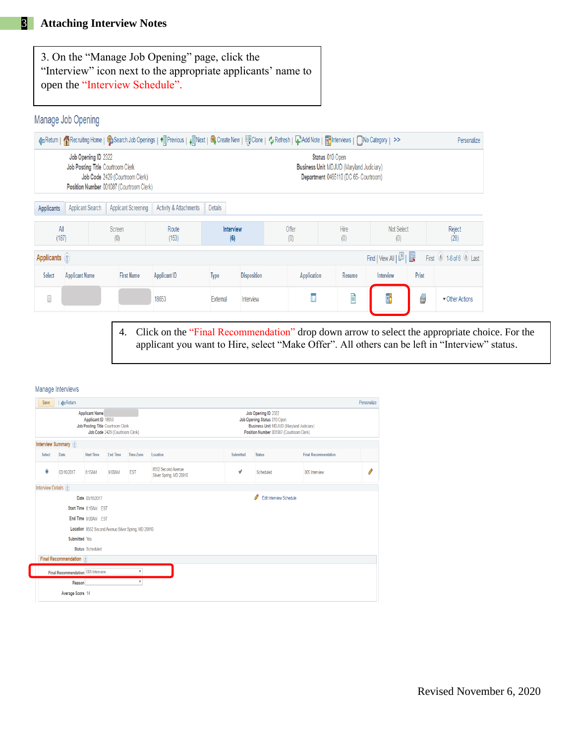3. On the "Manage Job Opening" page, click the "Interview" icon next to the appropriate applicants' name to open the "Interview Schedule".

## Manage Job Opening

| ← Return   ◆ Recruiting Home   ● Search Job Openings   ◆ Frevious   ↓ FlNext   ■ Create New   四 Clone   ◆ Refresh   ↓ Redd Note   ■ hterviews   ■ No Category   >><br>Personalize                                                                      |                               |  |                                           |                     |             |                    |                    |                          |                     |                |                       |
|--------------------------------------------------------------------------------------------------------------------------------------------------------------------------------------------------------------------------------------------------------|-------------------------------|--|-------------------------------------------|---------------------|-------------|--------------------|--------------------|--------------------------|---------------------|----------------|-----------------------|
| Job Opening ID 2322<br>Status 010 Open<br>Job Posting Title Courtroom Clerk<br><b>Business Unit MDJUD (Maryland Judiciary)</b><br>Job Code 2429 (Courtroom Clerk)<br>Department 0465110 (DC 65- Courtroom)<br>Position Number 001087 (Courtroom Clerk) |                               |  |                                           |                     |             |                    |                    |                          |                     |                |                       |
| Applicant Screening<br><b>Activity &amp; Attachments</b><br>Applicant Search<br><b>Details</b><br><b>Applicants</b>                                                                                                                                    |                               |  |                                           |                     |             |                    |                    |                          |                     |                |                       |
|                                                                                                                                                                                                                                                        | All<br>Screen<br>(187)<br>(0) |  | Route<br><b>Interview</b><br>(153)<br>(6) |                     |             | Offer<br>(0)       | Hire<br>(0)        | <b>Not Select</b><br>(0) |                     | Reject<br>(28) |                       |
| Applicants (?)                                                                                                                                                                                                                                         |                               |  |                                           |                     |             |                    |                    |                          | Find   View All   2 |                | First 1-6 of 6 D Last |
| Select                                                                                                                                                                                                                                                 | <b>Applicant Name</b>         |  | <b>First Name</b>                         | <b>Applicant ID</b> | <b>Type</b> | <b>Disposition</b> | <b>Application</b> | Resume                   | Interview           | Print          |                       |
|                                                                                                                                                                                                                                                        |                               |  |                                           | 18653               | External    | Interview          | П                  | Ë                        | T)                  | 5              | Other Actions         |

4. Click on the "Final Recommendation" drop down arrow to select the appropriate choice. For the applicant you want to Hire, select "Make Offer". All others can be left in "Interview" status.

| Save                       | <b>C</b> Return                                            |                                                                                      |                 |                  |                                               |           |                              |                             | Personalize |
|----------------------------|------------------------------------------------------------|--------------------------------------------------------------------------------------|-----------------|------------------|-----------------------------------------------|-----------|------------------------------|-----------------------------|-------------|
|                            | <b>Applicant Name</b><br>Job Posting Title Courtroom Clerk | Business Unit MDJUD (Maryland Judiciary)<br>Position Number 001087 (Courtroom Clerk) |                 |                  |                                               |           |                              |                             |             |
|                            | <b>Interview Summary</b> ?                                 |                                                                                      |                 |                  |                                               |           |                              |                             |             |
| Select                     | Date                                                       | <b>Start Time</b>                                                                    | <b>End Time</b> | <b>Time Zone</b> | Location                                      | Submitted | <b>Status</b>                | <b>Final Recommendation</b> |             |
| $\ddot{\mathbf{o}}$        | 03/16/2017                                                 | 8:15AM                                                                               | 9:00AM          | <b>EST</b>       | 8552 Second Avenue<br>Silver Spring, MD 20910 | √         | Scheduled                    | 005 Interview               | Ó           |
| <b>Interview Details</b> ? |                                                            |                                                                                      |                 |                  |                                               |           |                              |                             |             |
|                            |                                                            | Date 03/16/2017                                                                      |                 |                  |                                               |           | O<br>Edit Interview Schedule |                             |             |
|                            |                                                            | Start Time 8:15AM EST                                                                |                 |                  |                                               |           |                              |                             |             |
|                            |                                                            | End Time 9:00AM EST                                                                  |                 |                  |                                               |           |                              |                             |             |
|                            |                                                            | Location 8552 Second Avenue Silver Spring, MD 20910                                  |                 |                  |                                               |           |                              |                             |             |
|                            |                                                            | Submitted Yes                                                                        |                 |                  |                                               |           |                              |                             |             |
|                            |                                                            | <b>Status</b> Scheduled                                                              |                 |                  |                                               |           |                              |                             |             |
|                            | Final Recommendation (?)                                   |                                                                                      |                 |                  |                                               |           |                              |                             |             |
|                            | Final Recommendation 005 Interview                         |                                                                                      |                 |                  |                                               |           |                              |                             |             |
|                            | Reason                                                     |                                                                                      |                 | $\mathbf{v}$     |                                               |           |                              |                             |             |
|                            |                                                            |                                                                                      |                 |                  |                                               |           |                              |                             |             |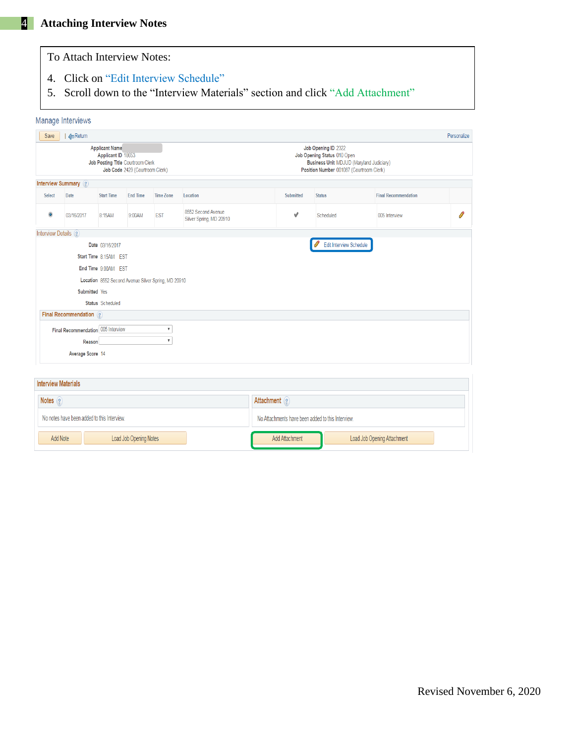Final Recommendation 005 Interview

No notes have been added to this Interview.

**Interview Materials** 

Add Note

Notes<sub>2</sub>

Reason Average Score 14

|                       | To Attach Interview Notes:                                                                                                                                                                                                                                               |                         |                 |                                                     |                                               |           |                         |                             |             |  |  |  |  |
|-----------------------|--------------------------------------------------------------------------------------------------------------------------------------------------------------------------------------------------------------------------------------------------------------------------|-------------------------|-----------------|-----------------------------------------------------|-----------------------------------------------|-----------|-------------------------|-----------------------------|-------------|--|--|--|--|
| 4 <sup>1</sup><br>5.  | Click on "Edit Interview Schedule"<br>Scroll down to the "Interview Materials" section and click "Add Attachment"                                                                                                                                                        |                         |                 |                                                     |                                               |           |                         |                             |             |  |  |  |  |
|                       | Manage Interviews                                                                                                                                                                                                                                                        |                         |                 |                                                     |                                               |           |                         |                             |             |  |  |  |  |
| Save                  | Return                                                                                                                                                                                                                                                                   |                         |                 |                                                     |                                               |           |                         |                             | Personalize |  |  |  |  |
|                       | <b>Applicant Name</b><br>Job Opening ID 2322<br>Applicant ID 18653<br>Job Opening Status 010 Open<br>Job Posting Title Courtroom Clerk<br><b>Business Unit MDJUD (Maryland Judiciary)</b><br>Position Number 001087 (Courtroom Clerk)<br>Job Code 2429 (Courtroom Clerk) |                         |                 |                                                     |                                               |           |                         |                             |             |  |  |  |  |
|                       | <b>Interview Summary</b> ?                                                                                                                                                                                                                                               |                         |                 |                                                     |                                               |           |                         |                             |             |  |  |  |  |
| Select                | Date                                                                                                                                                                                                                                                                     | <b>Start Time</b>       | <b>End Time</b> | Time Zone                                           | Location                                      | Submitted | <b>Status</b>           | <b>Final Recommendation</b> |             |  |  |  |  |
| $\ddot{\mathbf{o}}$   | 03/16/2017                                                                                                                                                                                                                                                               | 8:15AM                  | 9:00AM          | <b>EST</b>                                          | 8552 Second Avenue<br>Silver Spring, MD 20910 | √         | Scheduled               | 005 Interview               | O           |  |  |  |  |
| Interview Details (?) |                                                                                                                                                                                                                                                                          |                         |                 |                                                     |                                               |           |                         |                             |             |  |  |  |  |
|                       |                                                                                                                                                                                                                                                                          | Date 03/16/2017         |                 |                                                     |                                               |           | Edit Interview Schedule |                             |             |  |  |  |  |
|                       |                                                                                                                                                                                                                                                                          | Start Time 8:15AM EST   |                 |                                                     |                                               |           |                         |                             |             |  |  |  |  |
|                       |                                                                                                                                                                                                                                                                          | End Time 9:00AM EST     |                 |                                                     |                                               |           |                         |                             |             |  |  |  |  |
|                       |                                                                                                                                                                                                                                                                          |                         |                 | Location 8552 Second Avenue Silver Spring, MD 20910 |                                               |           |                         |                             |             |  |  |  |  |
|                       | Submitted Yes                                                                                                                                                                                                                                                            |                         |                 |                                                     |                                               |           |                         |                             |             |  |  |  |  |
|                       |                                                                                                                                                                                                                                                                          | <b>Status</b> Scheduled |                 |                                                     |                                               |           |                         |                             |             |  |  |  |  |
|                       | Final Recommendation ?                                                                                                                                                                                                                                                   |                         |                 |                                                     |                                               |           |                         |                             |             |  |  |  |  |

Attachment ?

No Attachments have been added to this Interview.

Add Attachment

Load Job Opening Attachment

 $\overline{\mathbf{v}}$ 

 $\overline{\mathbf{v}}$ 

Load Job Opening Notes

| Revised November 6, 2020 |  |  |
|--------------------------|--|--|
|--------------------------|--|--|